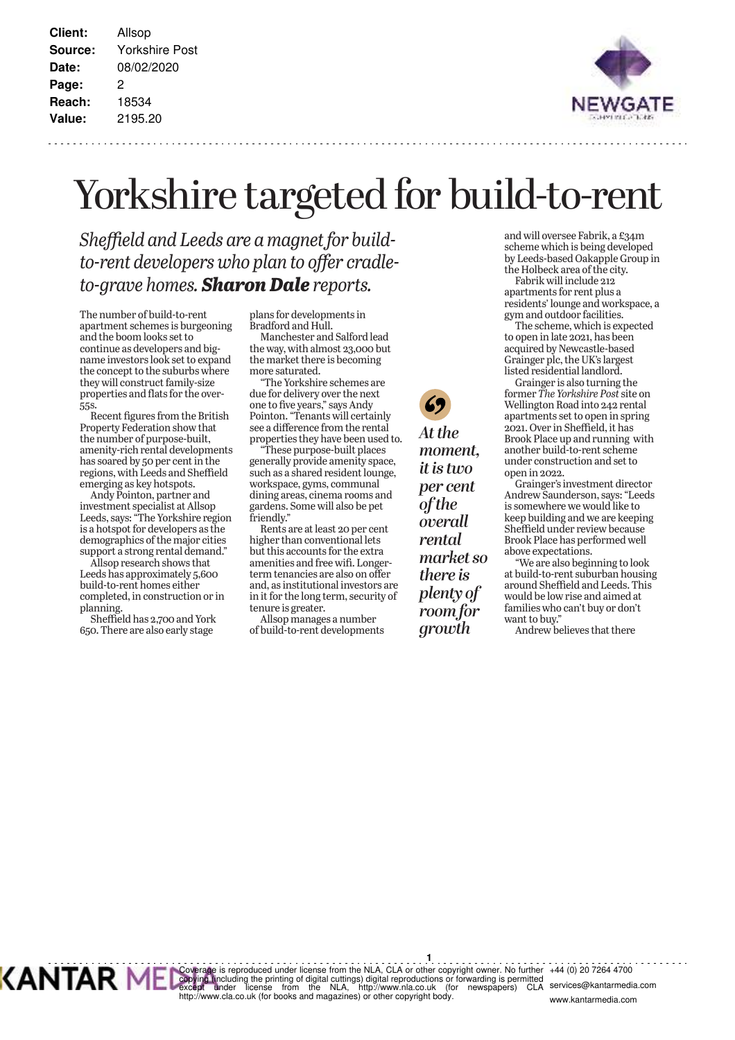**Client:** Allsop **Source:** Yorkshire Post **Date:** 08/02/2020 **Page:** 2 **Reach:** 18534 **Value:** 2195.20



## Yorkshire targeted for build-to-rent

*Sheffield and Leeds are a magnet for build*to-rent developers who plan to offer cradle*to-grave homes. Sharon Dale reports.* 

The number of build-to-rent apartment schemes is burgeoning and the boom looks set to continue as developers and bigname investors look set to expand the concept to the suburbs where they will construct family-size properties and flats for the over-55<sub>S</sub>.

Recent figures from the British Property Federation show that the number of purpose-built, amenity-rich rental developments has soared by 50 per cent in the regions, with Leeds and Sheffield emerging as key hotspots.

Andy Pointon, partner and investment specialist at Allsop Leeds, says: "The Yorkshire region is a hotspot for developers as the demographics of the major cities support a strong rental demand."

Allsop research shows that Leeds has approximately 5,600 build-to-rent homes either completed, in construction or in planning.

Sheffield has 2,700 and York 650. There are also early stage

plans for developments in Bradford and Hull.

Index and start and Salford lead the way, with almost 23,000 but the market there is becoming more saturated.

The Yorkshire schemes are due for delivery over the next one to five years," says Andy Pointon. "Tenants will certainly see a difference from the rental properties they have been used to.

These purpose-built places generally provide amenity space, such as a shared resident lounge, workspace, gyms, communal dining areas, cinema rooms and gardens. Some will also be pet friendly."

Rents are at least 20 per cent higher than conventional lets but this accounts for the extra amenities and free wifi. Longerterm tenancies are also on offer and, as institutional investors are in it for the long term, security of tenure is greater.

Allsop manages a number of build-to-rent developments At the *moment, it is two* per cent *of the <u>overall</u> rental market so there is* plenty of *room for <u>arowth</u>* 

and will oversee Fabrik, a £34m and win SYSSES FIRED (developed by Leeds-based Oakapple Group in the Holbeck area of the city.

Fabrik will include 212 apartments for rent plus a residents' lounge and workspace, a gym and outdoor facilities.

The scheme, which is expected to open in late 2021, has been acquired by Newcastle-based Grainger plc, the UK's largest listed residential landlord.

Grainger is also turning the former The Yorkshire Post site on Wellington Road into 242 rental WELL SHELL GRAND ADAPTMENT SET TO OPEN IN SPRING 2021. Over in Sheffield, it has Brook Place up and running with another build-to-rent scheme under construction and set to open in 2022.

Grainger's investment director Andrew Saunderson, says: "Leeds is somewhere we would like to keep building and we are keeping Sheffield under review because Brook Place has performed well above expectations.

We are also beginning to look at build-to-rent suburban housing around Sheffield and Leeds. This would be low rise and aimed at families who can't buy or don't want to buy."

Andrew believes that there

**1** Coverage is reproduced under license from the NLA, CLA or other copyright owner. No further<br>copying tincluding the printing of digital cuttings) digital reproductions or forwarding is permitted<br>except ander alicense from t +44 (0) 20 7264 4700 Inteu<br>CLA services@kantarmedia.com www.kantarmedia.com